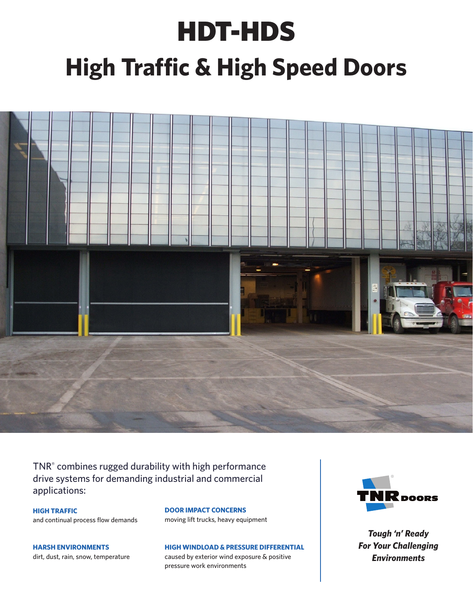## HDT-HDS **High Traffic & High Speed Doors**



TNR® combines rugged durability with high performance drive systems for demanding industrial and commercial applications:

**HIGH TRAFFIC** and continual process flow demands

**HARSH ENVIRONMENTS** dirt, dust, rain, snow, temperature **DOOR IMPACT CONCERNS** moving lift trucks, heavy equipment

**HIGH WINDLOAD & PRESSURE DIFFERENTIAL**

caused by exterior wind exposure & positive pressure work environments



*Tough 'n' Ready For Your Challenging Environments*